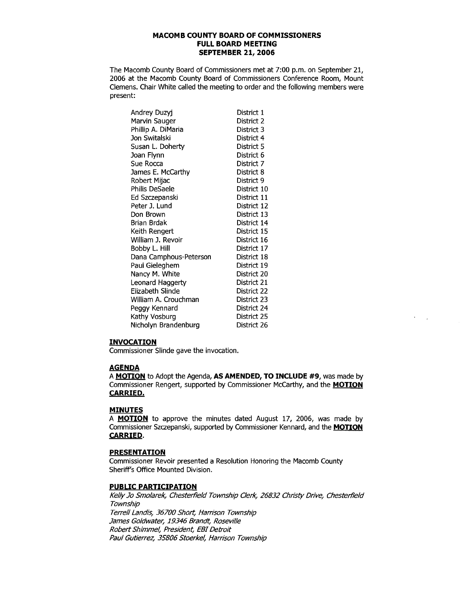## **MACOMB COUNTY BOARD OF COMMISSIONERS FULL BOARD MEETING SEPTEMBER 21, 2006**

The Macomb County Board of Commissioners met at 7:00 p.m. on September 21, 2006 at the Macomb County Board of Commissioners Conference Room, Mount Clemens. Chair White called the meeting to order and the following members were present:

| Andrey Duzyj           | District 1  |
|------------------------|-------------|
| Marvin Sauger          | District 2  |
| Phillip A. DiMaria     | District 3  |
| Jon Switalski          | District 4  |
| Susan L. Doherty       | District 5  |
| Joan Flynn             | District 6  |
| Sue Rocca              | District 7  |
| James E. McCarthy      | District 8  |
| Robert Mijac           | District 9  |
| Philis DeSaele         | District 10 |
| Ed Szczepanski         | District 11 |
| Peter J. Lund          | District 12 |
| Don Brown              | District 13 |
| Brian Brdak            | District 14 |
| Keith Rengert          | District 15 |
| William J. Revoir      | District 16 |
| Bobby L. Hill          | District 17 |
| Dana Camphous-Peterson | District 18 |
| Paul Gieleghem         | District 19 |
| Nancy M. White         | District 20 |
| Leonard Haggerty       | District 21 |
| Elizabeth Slinde       | District 22 |
| William A. Crouchman   | District 23 |
| Peggy Kennard          | District 24 |
| Kathy Vosburg          | District 25 |
| Nicholyn Brandenburg   | District 26 |

### **INVOCATION**

Commissioner Slinde gave the invocation.

### **AGENDA**

A **MOTION** to Adopt the Agenda, **AS AMENDED, TO INCLUDE #9**, was made by Commissioner Rengert, supported by Commissioner McCarthy, and the **MOTION CARRIED.** 

## **MINUTES**

A **MOTION** to approve the minutes dated August 17, 2006, was made by Commissioner Szczepanski, supported by Commissioner Kennard, and the **MOTION CARRIED.** 

## **PRESENTATION**

Commissioner Revoir presented a Resolution Honoring the Macomb County Sheriff's Office Mounted Division.

## **PUBLIC PARTICIPATION**

Kelly Jo Smolarek, Chesterfield Township Clerk, 26832 Christy Drive, Chesterfield Township Terrell Landis, 36700 Short, Harrison Township James Goldwater, 19346 Brandt, Roseville Robert Shimmel, President, EBI Detroit Paul Gutierrez, 35806 Stoerkel, Harrison Township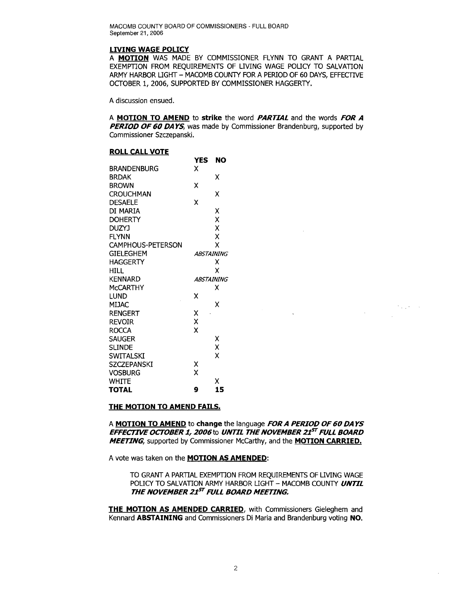#### **LIVING WAGE POLICY**

A **MOTION** WAS MADE BY COMMISSIONER FLYNN TO GRANT A PARTIAL EXEMPTION FROM REQUIREMENTS OF LIVING WAGE POLICY TO SALVATION ARMY HARBOR LIGHT - MACOMB COUNTY FOR A PERIOD OF 60 DAYS, EFFECTIVE OCTOBER 1, 2006, SUPPORTED BY COMMISSIONER HAGGERTY.

A discussion ensued.

A **MOTION TO AMEND to strike** the word **PARTIAL** and the words **FOR A PERIOD OF 60 DAYS**, was made by Commissioner Brandenburg, supported by Commissioner Szczepanski.

#### **ROLL CALL VOTE**

|                          | YES               | NO                |
|--------------------------|-------------------|-------------------|
| <b>BRANDENBURG</b>       | x                 |                   |
| <b>BRDAK</b>             |                   | x                 |
| <b>BROWN</b>             | χ                 |                   |
| <b>CROUCHMAN</b>         |                   | х                 |
| <b>DESAELE</b>           | X                 |                   |
| DI MARIA                 |                   | χ                 |
| <b>DOHERTY</b>           |                   | X                 |
| <b>DUZYJ</b>             |                   | X                 |
| <b>FLYNN</b>             |                   | X                 |
| <b>CAMPHOUS-PETERSON</b> |                   | X                 |
| <b>GIELEGHEM</b>         |                   | <b>ABSTAINING</b> |
| <b>HAGGERTY</b>          |                   | x                 |
| <b>HILL</b>              |                   | x                 |
| <b>KENNARD</b>           | <b>ABSTAINING</b> |                   |
| <b>MCCARTHY</b>          |                   | x                 |
| lund                     | X                 |                   |
| <b>MIJAC</b>             |                   | χ                 |
| <b>RENGERT</b>           | χ                 |                   |
| <b>REVOIR</b>            | X                 |                   |
| <b>ROCCA</b>             | X                 |                   |
| <b>SAUGER</b>            |                   | х                 |
| <b>SLINDE</b>            |                   | X                 |
| SWITALSKI                |                   | χ                 |
| SZCZEPANSKI              | χ                 |                   |
| Vosburg                  | x                 |                   |
| WHITE                    |                   | x                 |
| TOTAL                    | 9                 | 15                |

#### **THE MOTION TO AMEND FAILS.**

A **MOTION TO AMEND to change** the language **FOR A PERIOD OF 60 DA YS EFFECTIVE OCTOBER 1, 2006to UNTIL THE NOVEMBER 21ST FULL BOARD MEETING,** supported by Commissioner McCarthy, and the **MOTION CARRIED.** 

A vote was taken on the **MOTION AS AMENDED:** 

TO GRANT A PARTIAL EXEMPTION FROM REQUIREMENTS OF LIVING WAGE POLICY TO SALVATION ARMY HARBOR LIGHT - MACOMB COUNTY **UNTIL THE NOVEMBER 21ST FULL BOARD MEETING.** 

 $\mathcal{L}$ 

 $\mathcal{F}^{\mathcal{A}}_{\mathcal{A}}$  and  $\mathcal{F}^{\mathcal{A}}_{\mathcal{A}}$  and

 $\sim$ 

**THE MOTION AS AMENDED CARRIED,** with Commissioners Gieleghem and Kennard **ABSTAINING** and Commissioners Di Maria and Brandenburg voting **NO.**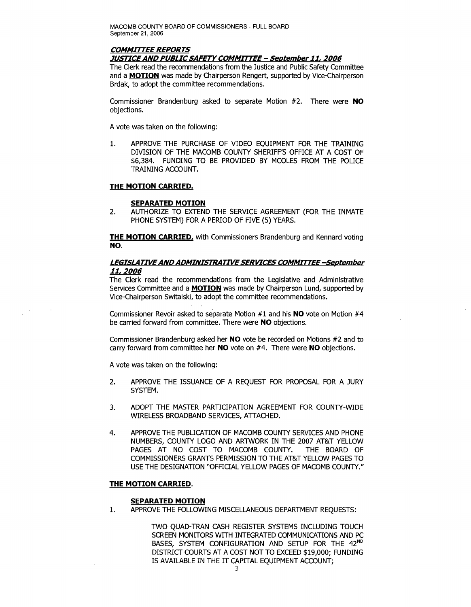# **COMMITTEE REPORTS**

#### **JUSTICEAND PUBLICSAFETYCOMMITTEE - September11,2006**

The Clerk read the recommendations from the Justice and Public Safety Committee and a **MOTION** was made by Chairperson Rengert, supported by Vice-Chairperson Brdak, to adopt the committee recommendations.

Commissioner Brandenburg asked to separate Motion #2. There were **NO**  objections.

A vote was taken on the following:

1. APPROVE THE PURCHASE OF VIDEO EQUIPMENT FOR THE TRAINING DIVISION OF THE MACOMB COUNTY SHERIFF'S OFFICE AT A COST OF \$6,384. FUNDING TO BE PROVIDED BY MCOLES FROM THE POLICE TRAINING ACCOUNT.

### **THE MOTION CARRIED.**

### **SEPARATED MOTION**

2. AUTHORIZE TO EXTEND THE SERVICE AGREEMENT (FOR THE INMATE PHONE SYSTEM) FOR A PERIOD OF FIVE (5) YEARS.

**THE MOTION CARRIED, with Commissioners Brandenburg and Kennard voting NO.** 

## **LEGISLATIVEANDADMINISTRATIVESERVICES COMMITTEE-September 11,2006**

The Clerk read the recommendations from the Legislative and Administrative Services Committee and a **MOTION** was made by Chairperson Lund, supported by Vice-Chairperson Switalski, to adopt the committee recommendations.

Commissioner Revoir asked to separate Motion #1 and his **NO** vote on Motion #4 be carried forward from committee. There were **NO** objections.

Commissioner Brandenburg asked her **NO** vote be recorded on Motions #2 and to carry forward from committee her **NO** vote on #4. There were **NO** objections.

A vote was taken on the following:

- 2. APPROVE THE ISSUANCE OF A REQUEST FOR PROPOSAL FOR A JURY SYSTEM.
- 3. ADOPT THE MASTER PARTICIPATION AGREEMENT FOR COUNTY-WIDE WIRELESS BROADBAND SERVICES, ATTACHED.
- 4. APPROVE THE PUBLICATION OF MACOMB COUNTY SERVICES AND PHONE NUMBERS, COUNTY LOGO AND ARTWORK IN THE 2007 AT&T YELLOW PAGES AT NO COST TO MACOMB COUNTY. THE BOARD OF COMMISSIONERS GRANTS PERMISSION TO THE AT&T YELLOW PAGES TO USE THE DESIGNATION "OFFICIAL YELLOW PAGES OF MACOMB COUNTY."

### **THE MOTION CARRIED.**

### **SEPARATED MOTION**

1. APPROVE THE FOLLOWING MISCELLANEOUS DEPARTMENT REQUESTS:

TWO QUAD-TRAN CASH REGISTER SYSTEMS INCLUDING TOUCH SCREEN MONITORS WITH INTEGRATED COMMUNICATIONS AND PC BASES, SYSTEM CONFIGURATION AND SETUP FOR THE 42<sup>ND</sup> DISTRICT COURTS AT A COST NOT TO EXCEED \$19,000; FUNDING IS AVAILABLE IN THE IT CAPITAL EQUIPMENT ACCOUNT;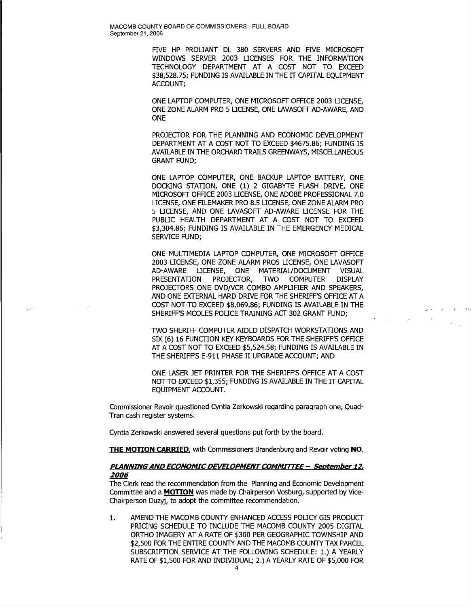> FIVE HP PROLIANT DL 380 SERVERS AND FIVE MICROSOFT WINDOWS SERVER 2003 LICENSES FOR THE INFORMATION TECHNOLOGY DEPARTMENT AT A COST NOT TO EXCEED \$38,528,75; FUNDING IS AVAILABLE IN THE IT CAPITAL EQUIPMENT ACCOUNT;

> ONE LAPTOP COMPUTER, ONE MICROSOFT OFFICE 2003 LICENSE, ONE ZONE ALARM PRO 5 LICENSE, ONE LAVASOFT AD-AWARE, AND **ONE**

> PROJECTOR FOR THE PLANNING AND ECONOMIC DEVELOPMENT DEPARTMENT AT A COST NOT TO EXCEED \$4675.86; FUNDING IS AVAILABLE IN THE ORCHARD TRAILS GREENWAYS, MISCELLANEOUS GRANT FUND;

ONE LAPTOP COMPUTER, ONE BACKUP LAPTOP BATTERY, ONE DOCKING STATION, ONE (1) 2 GIGABYTE FLASH DRIVE, ONE MICROSOFT OFFICE 2003 LICENSE, ONE ADOBE PROFESSIONAL 7.0 LICENSE, ONE FILEMAKER PRO 8.5 LICENSE, ONE ZONE ALARM PRO 5 LICENSE, AND ONE LAVASOFT AD-AWARE LICENSE FOR THE PUBLIC HEALTH DEPARTMENT AT A COST NOT TO EXCEED \$3,304.86; FUNDING IS AVAILABLE IN THE EMERGENCY MEDICAL SERVICE FUND;

ONE MULTIMEDIA LAPTOP COMPUTER, ONE MICROSOFT OFFICE 2003 LICENSE, ONE ZONE ALARM PR05 LICENSE, ONE LAVASOFT AD-AWARE LICENSE, ONE MATERIAL/DOCUMENT VISUAL PRESENTATION PROJECTOR, TWO COMPUTER DISPLAY PROJECTORS ONE DVD/VCR COMBO AMPLIFIER AND SPEAKERS, AND ONE EXTERNAL HARD DRIVE FOR THE SHERIFF'S OFFICE AT A COST NOT TO EXCEED \$8,069.86; FUNDING IS AVAILABLE IN THE SHERIFF'S MCOLES POLICE TRAINING ACT 302 GRANT FUND;

TWO SHERIFF COMPUTER AIDED DISPATCH WORKSTATIONS AND SIX (6) 16 FUNCTION KEY KEYBOARDS FOR THE SHERIFF'S OFFICE AT A COST NOT TO EXCEED \$5,524.58; FUNDING IS AVAILABLE IN THE SHERIFF'S E-911 PHASE II UPGRADE ACCOUNT; AND

 $\bar{\mathcal{A}}$ 

ONE LASER JET PRINTER FOR THE SHERIFF'S OFFICE AT A COST NOT TO EXCEED \$1,355; FUNDING IS AVAILABLE IN THE IT CAPITAL EQUIPMENT ACCOUNT.

Commissioner Revoir questioned Cyntia Zerkowski regarding paragraph one, Quad-Tran cash register systems.

Cyntia Zerkowski answered several questions put forth by the board.

 $\mathbb{Z}^{\mathbb{Z}^2}$ 

**THE MOTION CARRIED,** with Commissioners Brandenburg and Revoir voting **NO.** 

## **PLANNINGAND ECONOMICDEVELOPMENTCOMMITTEE- September 12,**  *2006*

The Clerk read the recommendation from the Planning and Economic Development Committee and a **MOTION** was made by Chairperson Vosburg, supported by Vice-Chairperson Duzyj, to adopt the committee recommendation.

1. AMEND THE MACOMB COUNTY ENHANCED ACCESS POLICY GIS PRODUCT PRICING SCHEDULE TO INCLUDE THE MACOMB COUNTY 2005 DIGITAL ORTHO IMAGERY AT A RATE OF \$300 PER GEOGRAPHIC TOWNSHIP AND \$2,500 FOR THE ENTIRE COUNTY AND THE MACOMB COUNTY TAX PARCEL SUBSCRIPTION SERVICE AT THE FOLLOWING SCHEDULE: 1.) A YEARLY RATE OF \$1,500 FOR AND INDIVIDUAL; 2.) A YEARLY RATE OF \$5,000 FOR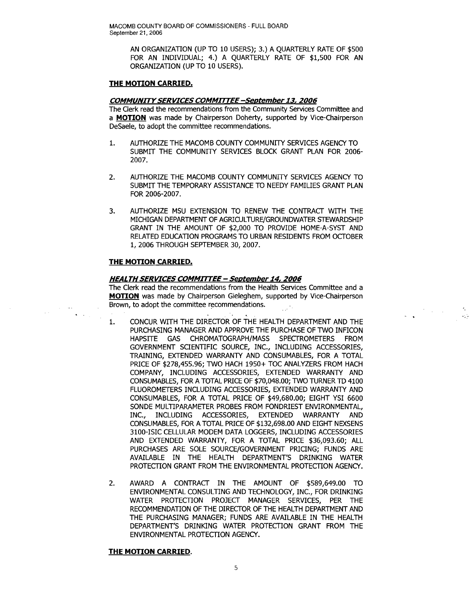AN ORGANIZATION (UP TO 10 USERS); 3.) A QUARTERLY RATE OF \$500 FOR AN INDIVIDUAL; 4.) A QUARTERLY RATE OF \$1,500 FOR AN ORGANIZATION (UP TO 10 USERS).

## **THE MOTION CARRIED.**

## **COMMUNITYSERVICES COMMITTEE-September13,2006**

The Clerk read the recommendations from the Community Services Committee and a **MOTION** was made by Chairperson Doherty, supported by Vice-Chairperson DeSaele, to adopt the committee recommendations.

- 1. AUTHORIZE THE MACOMB COUNTY COMMUNITY SERVICES AGENCY TO SUBMIT THE COMMUNITY SERVICES BLOCK GRANT PLAN FOR 2006 2007.
- 2. AUTHORIZE THE MACOMB COUNTY COMMUNITY SERVICES AGENCY TO SUBMIT THE TEMPORARY ASSISTANCE TO NEEDY FAMILIES GRANT PLAN FOR 2006-2007.
- 3. AUTHORIZE MSU EXTENSION TO RENEW THE CONTRACT WITH THE MICHIGAN DEPARTMENT OF AGRICULTURE/GROUNDWATER STEWARDSHIP GRANT IN THE AMOUNT OF \$2,000 TO PROVIDE HOME-A-SYST AND RELATED EDUCATION PROGRAMS TO URBAN RESIDENTS FROM OCTOBER 1,2006 THROUGH SEPTEMBER 30,2007.

## **THE MOTION CARRIED.**

 $\langle\star\rangle$  ,  $\langle\downarrow\rangle$ 

## **HEALTH SERVICES COMMITTEE - September14,2006**

The Clerk read the recommendations from the Health Services Committee and a **MOTION** was made by Chairperson Gieleghem, supported by Vice-Chairperson Brown, to adopt the committee recommendations.

', ..

 $\mathcal{F}(\mathcal{A})$  ,  $\mathcal{A}(\mathcal{A})$ 

- 1. CONCUR WITH THE DIRECTOR OF THE HEALTH DEPARTMENT AND THE PURCHASING MANAGER AND APPROVE THE PURCHASE OF TWO INFICON HAPSITE GAS CHROMATOGRAPH/MASS SPECTROMETERS FROM GOVERNMENT SCIENTIFIC SOURCE, INC., INCLUDING ACCESSORIES, TRAINING, EXTENDED WARRANTY AND CONSUMABLES, FOR A TOTAL PRICE OF \$278,455.96; TWO HACH 1950+ TOC ANALYZERS FROM HACH COMPANY, INCLUDING ACCESSORIES, EXTENDED WARRANTY AND CONSUMABLES, FOR A TOTAL PRICE OF \$70,048.00; TWO TURNER TD 4100 FLUOROMETERS INCLUDING ACCESSORIES, EXTENDED WARRANTY AND CONSUMABLES, FOR A TOTAL PRICE OF \$49,680.00; EIGHT YSI 6600 SONDE MULTIPARAMETER PROBES FROM FONDRIEST ENVIRONMENTAL, INC., INCLUDING ACCESSORIES, EXTENDED WARRANTY AND CONSUMABLES, FOR A TOTAL PRICE OF \$132,698.00 AND EIGHT NEXSENS 3100-ISIC CELLULAR MODEM DATA LOGGERS, INCLUDING ACCESSORIES AND EXTENDED WARRANTY, FOR A TOTAL PRICE \$36,093.60; ALL PURCHASES ARE SOLE SOURCE/GOVERNMENT PRICING; FUNDS ARE AVAILABLE IN THE HEALTH DEPARTMENT'S DRINKING WATER PROTECTION GRANT FROM THE ENVIRONMENTAL PROTECTION AGENCY.
- 2. AWARD A CONTRACT IN THE AMOUNT OF \$589,649.00 TO ENVIRONMENTAL CONSULTING AND TECHNOLOGY, INC., FOR DRINKING WATER PROTECTION PROJECT MANAGER SERVICES, PER THE RECOMMENDATION OF THE DIRECTOR OF THE HEALTH DEPARTMENT AND THE PURCHASING MANAGER; FUNDS ARE AVAILABLE IN THE HEALTH DEPARTMENT'S DRINKING WATER PROTECTION GRANT FROM THE ENVIRONMENTAL PROTECTION AGENCY.

### **THE MOTION CARRIED.**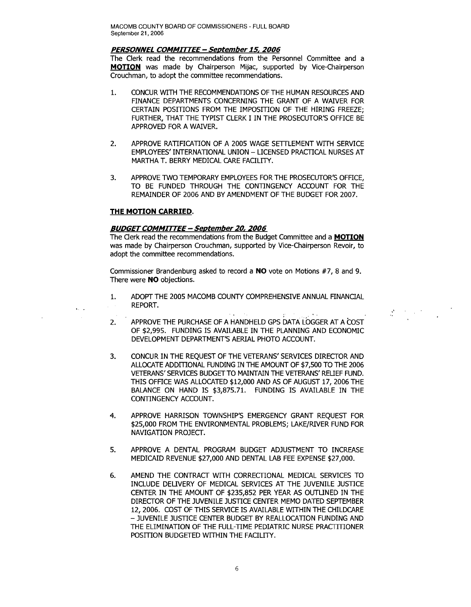#### **PERSONNEL COMMITTEE - Seotember 15,2006**

The Clerk read the recommendations from the Personnel Committee and a **MOTION** was made by Chairperson Mijac, supported by Vice-Chairperson Crouchman, to adopt the committee recommendations.

- 1. CONCUR WITH THE RECOMMENDATIONS OFTHE HUMAN RESOURCES AND FINANCE DEPARTMENTS CONCERNING THE GRANT OF A WAIVER FOR CERTAIN POSITIONS FROM THE IMPOSITION OF THE HIRING FREEZE: FURTHER, THAT THE TYPIST CLERK I IN THE PROSECUTOR'S OFFICE BE APPROVED FOR A WAIVER.
- 2. APPROVE RATIFICATION OF A 2005 WAGE SETTLEMENT WITH SERVICE EMPLOYEES' INTERNATIONAL UNION - LICENSED PRACTICAL NURSES AT MARTHA T. BERRY MEDICAL CARE FACILITY.
- 3. APPROVE TWO TEMPORARY EMPLOYEES FOR THE PROSECUTOR'S OFFICE, TO BE FUNDED THROUGH THE CONTINGENCY ACCOUNT FOR THE REMAINDER OF 2006 AND BY AMENDMENT OF THE BUDGET FOR 2007.

### **THE MOTION CARRIED.**

### **BUDGETCOMMITTEE - September 20,2006**

The Clerk read the recommendations from the Budget Committee and a **MOTION**  was made by Chairperson Crouchman, supported by Vice-Chairperson Revoir, to adopt the committee recommendations.

Commissioner Brandenburg asked to record a **NO** vote on Motions #7, 8 and 9. There were **NO** objections.

1. ADOPT THE 2005 MACOMB COUNTY COMPREHENSIVE ANNUAL FINANCIAL REPORT.

 $\label{eq:Ricci} \begin{split} \mathcal{R}^{(n)} &\stackrel{\text{def}}{=} \mathcal{R}^{(n)} \times \mathcal{R}^{(n)} \times \mathcal{R}^{(n)} \end{split}$ 

- 2. APPROVE THE PURCHASE OF A HANDHELD GPS DATA LOGGER AT A COST OF \$2,995. FUNDING IS AVAILABLE IN THE PLANNING AND ECONOMIC DEVELOPMENT DEPARTMENT'S AERIAL PHOTO ACCOUNT.
- 3. CONCUR IN THE REQUEST OF THE VETERANS' SERVICES DIRECTOR AND ALLOCATE ADDITIONAL FUNDING IN THE AMOUNT OF \$7,500 TO THE 2006 VETERANS' SERVICES BUDGET TO MAINTAIN THE VETERANS' RELIEF FUND. THIS OFFICE WAS ALLOCATED \$12,000 AND AS OF AUGUST 17, 2006 THE BALANCE ON HAND IS \$3,875.71. FUNDING IS AVAILABLE IN THE CONTINGENCY ACCOUNT.
- 4. APPROVE HARRISON TOWNSHIP'S EMERGENCY GRANT REQUEST FOR \$25,000 FROM THE ENVIRONMENTAL PROBLEMS; LAKE/RIVER FUND FOR NAVIGATION PROJECT.
- 5. APPROVE A DENTAL PROGRAM BUDGET ADJUSTMENT TO INCREASE MEDICAID REVENUE \$27,000 AND DENTAL LAB FEE EXPENSE \$27,000.
- 6. AMEND THE CONTRACT WITH CORRECTIONAL MEDICAL SERVICES TO INCLUDE DELIVERY OF MEDICAL SERVICES AT THE JUVENILE JUSTICE CENTER IN THE AMOUNT OF \$235,852 PER YEAR AS OUTLINED IN THE DIRECTOR OF THE JUVENILE JUSTICE CENTER MEMO DATED SEPTEMBER 12,2006. COST OF THIS SERVICE IS AVAILABLE WITHIN THE CHILDCARE - JUVENILE JUSTICE CENTER BUDGET BY REALLOCATION FUNDING AND THE ELIMINATION OF THE FULL-TIME PEDIATRIC NURSE PRACTITIONER POSITION BUDGETED WITHIN THE FACILITY.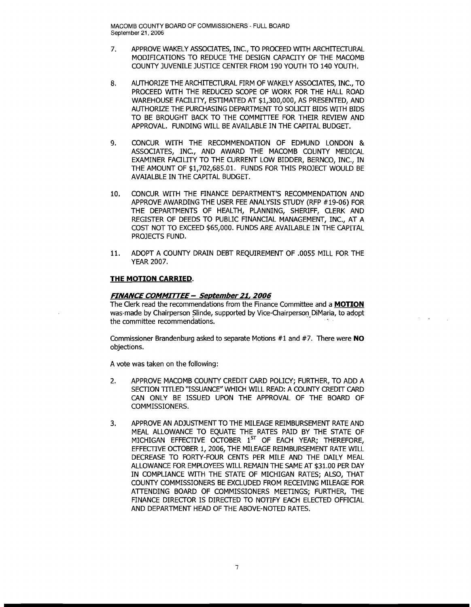- 7. APPROVE WAKELY ASSOCIATES, INC., TO PROCEED WITH ARCHITECTURAL MODIRCATIONS TO REDUCE THE DESIGN CAPACITY OF THE MACOMB COUNTY JUVENILE JUSTICE CENTER FROM 190 YOUTH TO 140 YOUTH.
- 8. AUTHORIZE THE ARCHITECTURAL FIRM OF WAKELY ASSOCIATES, INC., TO PROCEED WITH THE REDUCED SCOPE OF WORK FOR THE HALL ROAD WAREHOUSE FACILITY, ESTIMATED AT \$1,300,000, AS PRESENTED, AND AUTHORIZE THE PURCHASING DEPARTMENT TO SOLICIT BIDS WITH BIDS TO BE BROUGHT BACK TO THE COMMITTEE FOR THEIR REVIEW AND APPROVAL. FUNDING WILL BE AVAILABLE IN THE CAPITAL BUDGET.
- 9. CONCUR WITH THE RECOMMENDATION OF EDMUND LONDON & ASSOCIATES, INC., AND AWARD THE MACOMB COUNTY MEDICAL EXAMINER FAOLITY TO THE CURRENT LOW BIDDER, BERNCO, INC., IN THE AMOUNT OF \$1,702,685.01. FUNDS FOR THIS PROJECT WOULD BE AVAIALBLE IN THE CAPITAL BUDGET.
- 10. CONCUR WITH THE FINANCE DEPARTMENT'S RECOMMENDATION AND APPROVE AWARDING THE USER FEE ANALYSIS STUDY (RFP #19-06) FOR THE DEPARTMENTS OF HEALTH, PLANNING, SHERIFF, CLERK AND REGISTER OF DEEDS TO PUBLIC FINANCIAL MANAGEMENT, INC., AT A COST NOT TO EXCEED \$65,000. FUNDS ARE AVAILABLE IN THE CAPITAL PROJECTS FUND.
- 11. ADOPT A COUNTY DRAIN DEBT REQUIREMENT OF .0055 MILL FOR THE YEAR 2007.

## **THE MOTION CARRIED.**

### **FINANCE COMMITTEE - September 21,2006**

The Clerk read the recommendations from the Finance Committee and a **MOTION**  was· made by Chairperson Slinde, supported by Vice-Chairperson DiMaria, to adopt the committee recommendations.

Commissioner Brandenburg asked to separate Motions #1 and #7. There were **NO**  objections.

A vote was taken on the following:

- 2. APPROVE MACOMB COUNTY CREDIT CARD POLICY; FURTHER, TO ADD A SECTION TITLED "ISSUANCE" WHICH WILL READ: A COUNTY CREDIT CARD CAN ONLY BE ISSUED UPON THE APPROVAL OF THE BOARD OF COMMISSIONERS.
- 3. APPROVE AN ADJUSTMENT TO THE MILEAGE REIMBURSEMENT RATE AND MEAL ALLOWANCE TO EQUATE THE RATES PAID BY THE STATE OF MICHIGAN EFFECTIVE OCTOBER  $1<sup>ST</sup>$  OF EACH YEAR; THEREFORE, EFFECTIVE OCTOBER 1, 2006, THE MILEAGE REIMBURSEMENT RATE WILL DECREASE TO FORTY-FOUR CENTS PER MILE AND THE DAILY MEAL ALLOWANCE FOR EMPLOYEES WILL REMAIN THE SAME AT \$31.00 PER DAY IN COMPLIANCE WITH THE STATE OF MICHIGAN RATES; ALSO, THAT COUNTY COMMISSIONERS BE EXCLUDED FROM RECEIVING MILEAGE FOR ATTENDING BOARD OF COMMISSIONERS MEETINGS; FURTHER, THE FINANCE DIRECTOR IS DIRECTED TO NOTIFY EACH ELECTED OFFICIAL AND DEPARTMENT HEAD OF THE ABOVE-NOTED RATES.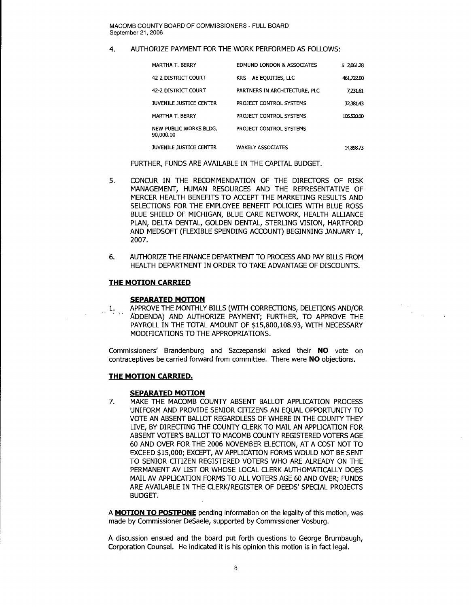## 4. AUTHORIZE PAYMENT FOR THE WORK PERFORMED AS FOLLOWS:

| MARTHA T. BERRY                     | <b>EDMUND LONDON &amp; ASSOCIATES</b> | \$2,061.28 |
|-------------------------------------|---------------------------------------|------------|
| 42-2 DISTRICT COURT                 | KRS - AE EQUITIES, LLC                | 461,722.00 |
| 42-2 DISTRICT COURT                 | PARTNERS IN ARCHITECTURE, PLC         | 7.231.61   |
| JUVENILE JUSTICE CENTER             | PROJECT CONTROL SYSTEMS               | 32.381.43  |
| <b>MARTHA T. BERRY</b>              | PROJECT CONTROL SYSTEMS               | 105.520.00 |
| NEW PUBLIC WORKS BLDG.<br>90,000.00 | PROJECT CONTROL SYSTEMS               |            |
| JUVENILE JUSTICE CENTER             | <b>WAKELY ASSOCIATES</b>              | 14.898.73  |

FURTHER, FUNDS ARE AVAILABLE IN THE CAPITAL BUDGET.

- 5. CONCUR IN THE RECOMMENDATION OF THE DIRECTORS OF RISK MANAGEMENT, HUMAN RESOURCES AND THE REPRESENTATIVE OF MERCER HEALTH BENEFITS TO ACCEPT THE MARKETING RESULTS AND SELECTIONS FOR THE EMPLOYEE BENEFIT POLICIES WITH BLUE ROSS BLUE SHIELD OF MICHIGAN, BLUE CARE NETWORK, HEALTH ALLIANCE PLAN, DELTA DENTAL, GOLDEN DENTAL, STERLING VISION, HARTFORD AND MEDSOFT (FLEXIBLE SPENDING ACCOUNT) BEGINNING JANUARY 1, 2007.
- 6. AUTHORIZE THE FINANCE DEPARTMENT TO PROCESS AND PAY BILLS FROM HEALTH DEPARTMENT IN ORDER TO TAKE ADVANTAGE OF DISCOUNTS.

### **THE MOTION CARRIED**

#### **SEPARATED MOTION**

1. APPROVE THE MONTHLY BILLS (WITH CORRECTIONS, DELETIONS AND/OR ADDENDA) AND AUTHORIZE PAYMENT; FURTHER, TO APPROVE THE PAYROLL IN THE TOTAL AMOUNT OF \$15,800,108.93, WITH NECESSARY MODIFICATIONS TO THE APPROPRIATIONS.

Commissioners' Brandenburg and Szczepanski asked their **NO** vote on contraceptives be carried forward from committee. There were **NO** objections.

#### **THE MOTION CARRIED.**

#### **SEPARATED MOTION**

7. MAKE THE MACOMB COUNTY ABSENT BALLOT APPLICATION PROCESS UNIFORM AND PROVIDE SENIOR CITIZENS AN EQUAL OPPORTUNITY TO VOTE AN ABSENT BALLOT REGARDLESS OF WHERE IN THE COUNTY THEY LIVE, BY DIRECTING THE COUNTY CLERK TO MAIL AN APPLICATION FOR ABSENT VOTER'S BALLOT TO MACOMB COUNTY REGISTERED VOTERS AGE 60 AND OVER FOR THE 2006 NOVEMBER ELECTION, AT A COST NOT TO EXCEED \$15,000; EXCEPT, AV APPLICATION FORMS WOULD NOT BE SENT TO SENIOR CITIZEN REGISTERED VOTERS WHO ARE ALREADY ON THE PERMANENT AV LIST OR WHOSE LOCAL CLERK AUTHOMATICALLY DOES MAIL AV APPLICATION FORMS TO ALL VOTERS AGE 60 AND OVER; FUNDS ARE AVAILABLE IN THE CLERK/REGISTER OF DEEDS' SPECIAL PROJECTS BUDGET.

A **MOTION TO POSTPONE** pending information on the legality of this motion, was made by Commissioner DeSaele, supported by Commissioner Vosburg.

A discussion ensued and the board put forth questions to George Brumbaugh, Corporation Counsel. He indicated it is his opinion this motion is in fact legal.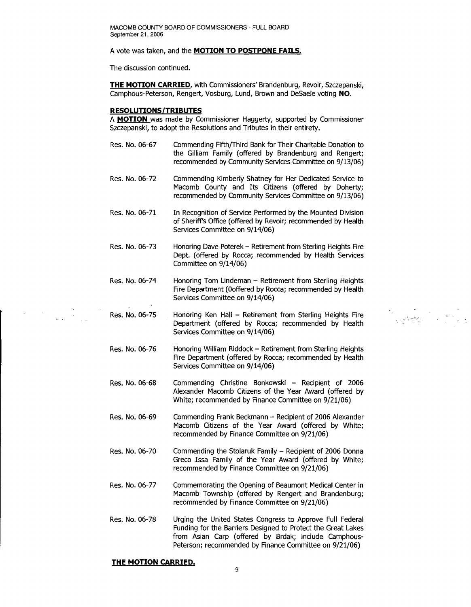#### A vote was taken, and the **MOTION TO POSTPONE FAILS.**

The discussion continued.

**THE MOTION CARRIED,** with Commissioners' Brandenburg, Revoir, Szczepanski, Camphous-Peterson, Rengert, Vosburg, Lund, Brown and DeSaele voting **NO.** 

#### **RESOLUTIONS/TRIBUTES**

A **MOTION** was made by Commissioner Haggerty, supported by Commissioner Szczepanski, to adopt the Resolutions and Tributes in their entirety.

- Res. No. 06-67 Commending Fifth{Third Bank for Their Charitable Donation to the Gilliam Family (offered by Brandenburg and Rengert; recommended by Community Services Committee on 9/13/06)
- Res. No. 06-72 Commending Kimberly Shatney for Her Dedicated Service to Macomb County and Its Citizens (offered by Doherty; recommended by Community Services Committee on 9/13/06)
- Res. No. 06-71 In Recognition of Service Performed by the Mounted Division of Sheriff's Office (offered by Revoir; recommended by Health Services Committee on 9/14/06)
- Res. No. 06-73 Honoring Dave Poterek - Retirement from Sterling Heights Fire Dept. (offered by Rocca; recommended by Health Services Committee on 9/14/06)
- Res. No. 06-74 Honoring Tom Lindeman - Retirement from Sterling Heights Fire Department (Ooffered by Rocca; recommended by Health Services Committee on 9/14/06)
- Res. No. 06-75 Honoring Ken Hall - Retirement from Sterling Heights Fire Department (offered by Rocca; recommended by Health Services Committee on 9/14/06)

" ...'."

- Res. No. 06-76 Honoring William Riddock - Retirement from Sterling Heights Fire Department (offered by Rocca; recommended by Health Services Committee on 9/14/06)
- Res. No. 06-68 Commending Christine Bonkowski - Recipient of 2006 Alexander Macomb Citizens of the Year Award (offered by White; recommended by Finance Committee on 9/21/06)
- Res. No. 06-69 Commending Frank Beckmann - Recipient of 2006 Alexander Macomb Citizens of the Year Award (offered by White; recommended by Finance Committee on 9/21/06)
- Res. No. 06-70 Commending the Stolaruk Family - Recipient of 2006 Donna Greco Issa Family of the Year Award (offered by White; recommended by Finance Committee on 9/21/06)
- Res. No. 06-77 Commemorating the Opening of Beaumont Medical Center in Macomb Township (offered by Rengert and Brandenburg; recommended by Finance Committee on 9/21/06)
- Res. No. 06-78 Urging the United States Congress to Approve Full Federal Funding for the Barriers Designed to Protect the Great Lakes from Asian Carp (offered by Brdak; include Camphous-Peterson; recommended by Finance Committee on 9/21/06)

#### **THE MOTION CARRIED.**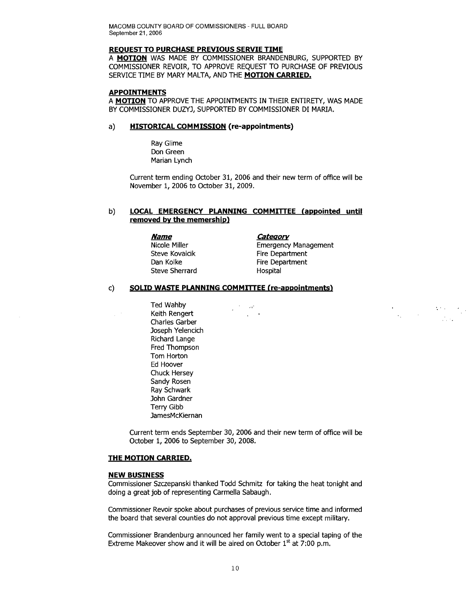#### **REOUEST TO PURCHASE PREVIOUS SERVIE TIME**

A **MOTION** WAS MADE BY COMMISSIONER BRANDENBURG, SUPPORTED BY COMMISSIONER REVOIR, TO APPROVE REQUEST TO PURCHASE OF PREVIOUS SERVICE TIME BY MARY MALTA, AND THE **MOTION CARRIED.** 

#### **APPOINTMENTS**

A **MOTION** TO APPROVE THE APPOINTMENTS IN THEIR ENTIRETY, WAS MADE BY COMMISSIONER DUZYJ, SUPPORTED BY COMMISSIONER DI MARIA.

### a) **HISTORICAL COMMISSION (re-appointments)**

Ray Glime Don Green Marian Lynch

Current term ending October 31, 2006 and their new term of office will be November 1, 2006 to October 31, 2009.

 $\sim \alpha^{\prime\prime}$ 

 $\frac{1}{2}$  ,  $\frac{1}{2}$ 

## b) **LOCAL EMERGENCY PLANNING COMMITTEE (appointed until removed by the memership)**

*Name Category* Steve Sherrard Hospital

Nicole Miller **Emergency Management** Steve Kovalcik Fire Department Dan Kolke Fire Department

### c) **SOLID WASTE PLANNING COMMITTEE (re-appointments)**

Ted Wahby Keith Rengert Charles Garber Joseph Yelencich Richard Lange Fred Thompson Tom Horton Ed Hoover Chuck Hersey Sandy Rosen Ray Schwark John Gardner Terry Gibb JamesMcKiernan

Current term ends September 30, 2006 and their new term of office will be October 1, 2006 to September 30, 2008.

## **THE MOTION CARRIED.**

#### **NEW BUSINESS**

 $\mathcal{L}$ 

Commissioner Szczepanski thanked Todd Schmitz for taking the heat tonight and doing a great job of representing Carmella Sabaugh.

Commissioner Revoir spoke about purchases of previous service time and informed the board that several counties do not approval previous time except military.

Commissioner Brandenburg announced her family went to a special taping of the Extreme Makeover show and it will be aired on October  $1<sup>st</sup>$  at 7:00 p.m.